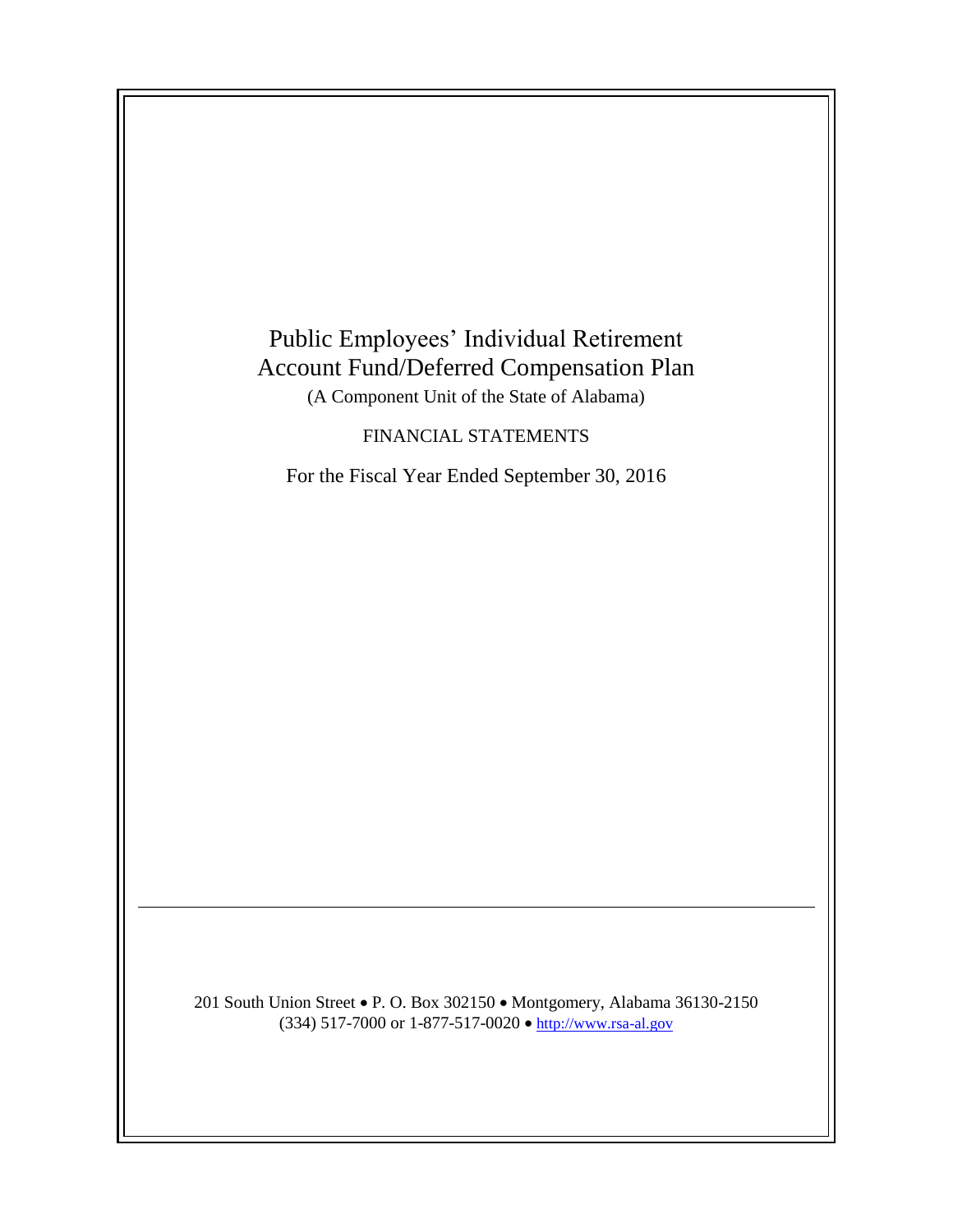

201 South Union Street • P. O. Box 302150 • Montgomery, Alabama 36130-2150 (334) 517-7000 or 1-877-517-0020  $\bullet$  [http://www.rsa-al.gov](http://www.rsa.state.al.us/)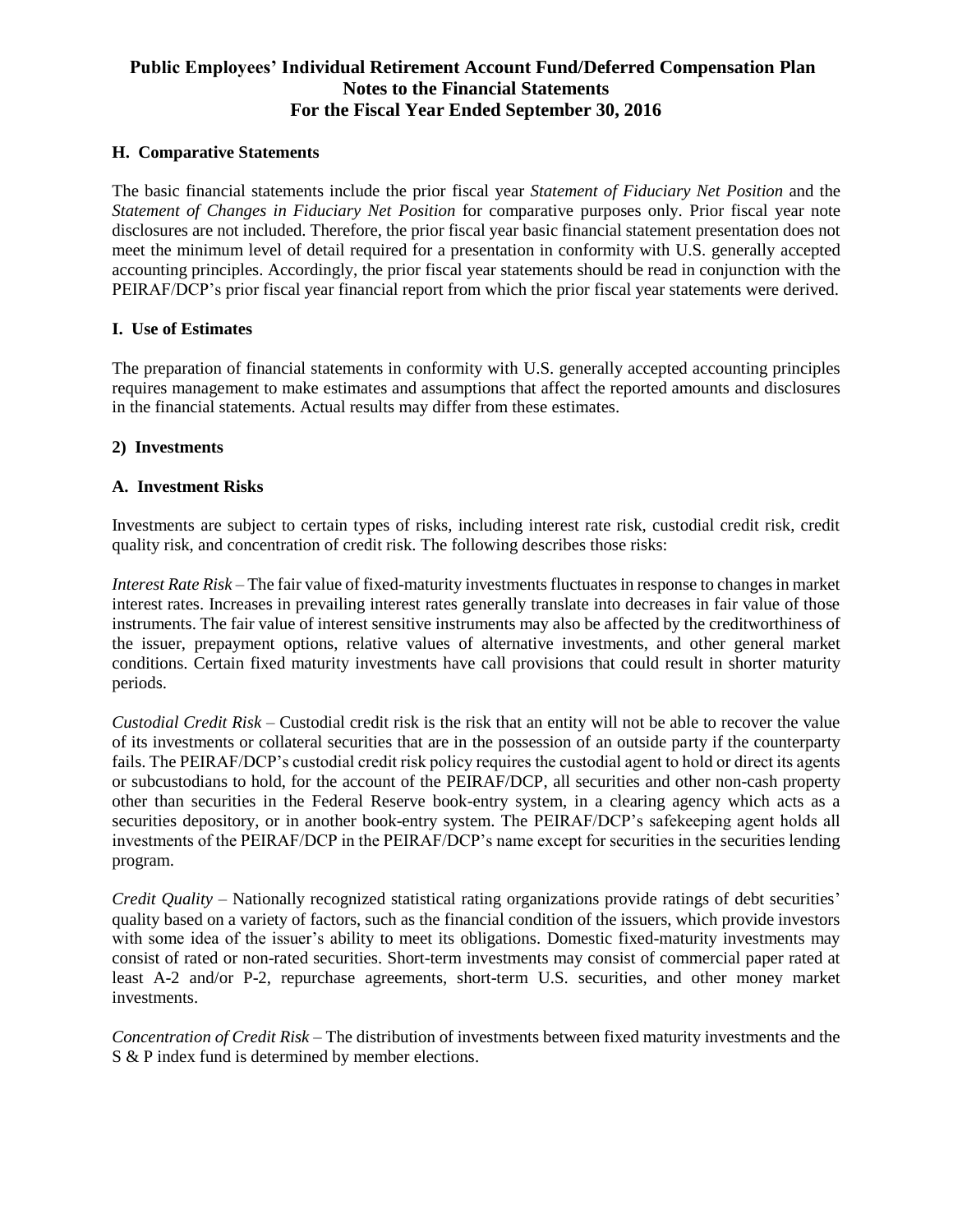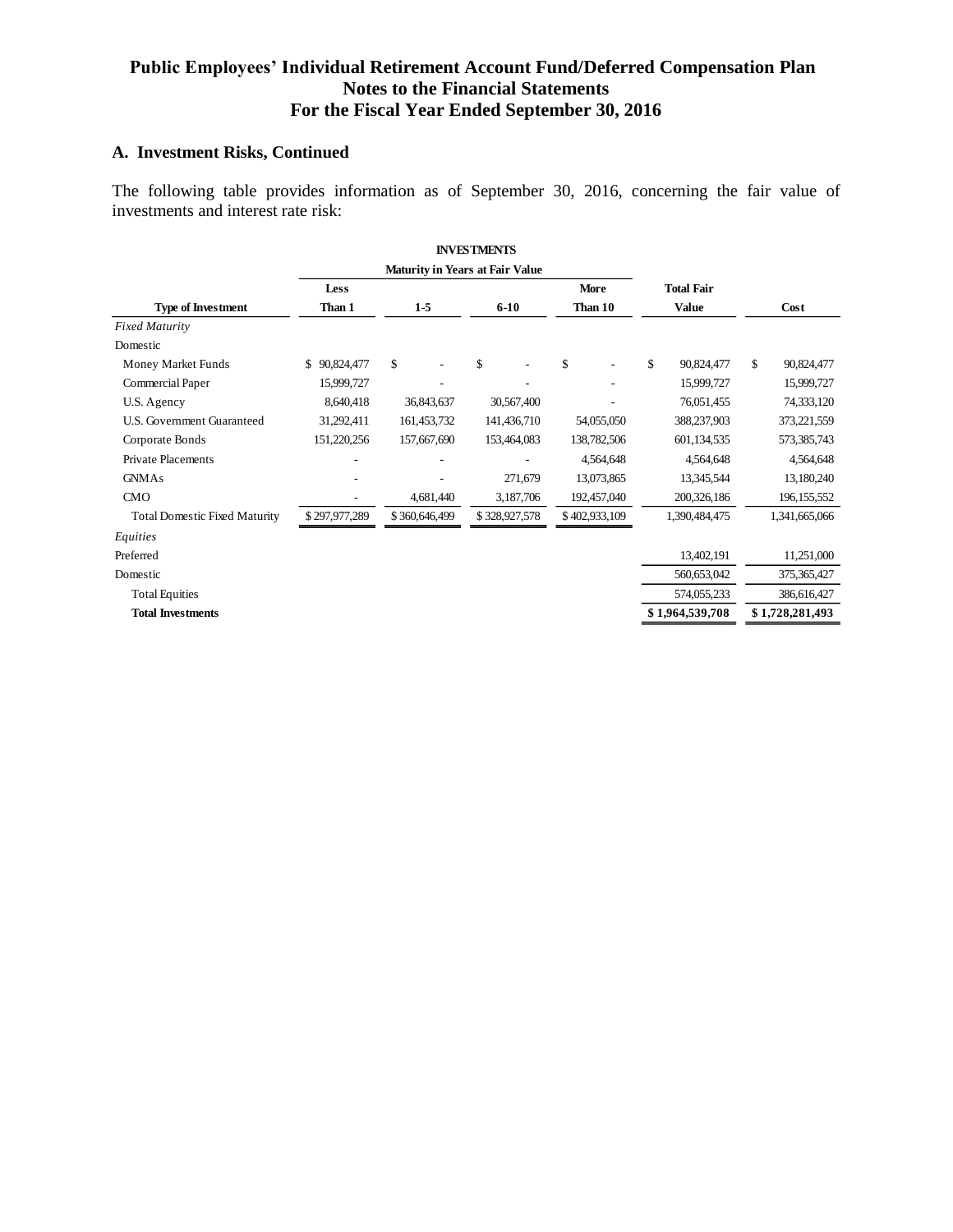### **A. Investment Risks, Continued**

The following table provides information as of September 30, 2016, concerning the fair value of investments and interest rate risk:

|                                      |               |                                        | <b>INVESTMENTS</b> |               |                   |                  |
|--------------------------------------|---------------|----------------------------------------|--------------------|---------------|-------------------|------------------|
|                                      |               | <b>Maturity in Years at Fair Value</b> |                    |               |                   |                  |
|                                      | <b>Less</b>   |                                        |                    | More          | <b>Total Fair</b> |                  |
| <b>Type of Investment</b>            | Than 1        | $1-5$                                  | $6-10$             | Than 10       | <b>Value</b>      | Cost             |
| <b>Fixed Maturity</b>                |               |                                        |                    |               |                   |                  |
| Domestic                             |               |                                        |                    |               |                   |                  |
| Money Market Funds                   | \$90,824,477  | \$.                                    | \$<br>٠            | \$            | \$<br>90,824,477  | \$<br>90,824,477 |
| Commercial Paper                     | 15,999,727    |                                        |                    |               | 15,999,727        | 15,999,727       |
| U.S. Agency                          | 8.640.418     | 36,843,637                             | 30,567,400         |               | 76,051,455        | 74,333,120       |
| U.S. Government Guaranteed           | 31,292,411    | 161, 453, 732                          | 141,436,710        | 54,055,050    | 388,237,903       | 373,221,559      |
| Corporate Bonds                      | 151,220,256   | 157,667,690                            | 153,464,083        | 138,782,506   | 601.134.535       | 573,385,743      |
| <b>Private Placements</b>            |               |                                        |                    | 4,564,648     | 4,564,648         | 4,564,648        |
| <b>GNMAs</b>                         |               |                                        | 271,679            | 13,073,865    | 13,345,544        | 13,180,240       |
| CMO                                  |               | 4,681,440                              | 3,187,706          | 192,457,040   | 200, 326, 186     | 196, 155, 552    |
| <b>Total Domestic Fixed Maturity</b> | \$297,977,289 | \$360,646,499                          | \$328,927,578      | \$402,933,109 | 1,390,484,475     | 1,341,665,066    |
| Equities                             |               |                                        |                    |               |                   |                  |
| Preferred                            |               |                                        |                    |               | 13,402,191        | 11,251,000       |
| Domestic                             |               |                                        |                    |               | 560,653,042       | 375,365,427      |
| <b>Total Equities</b>                |               |                                        |                    |               | 574,055,233       | 386,616,427      |
| <b>Total Investments</b>             |               |                                        |                    |               | \$1,964,539,708   | \$1,728,281,493  |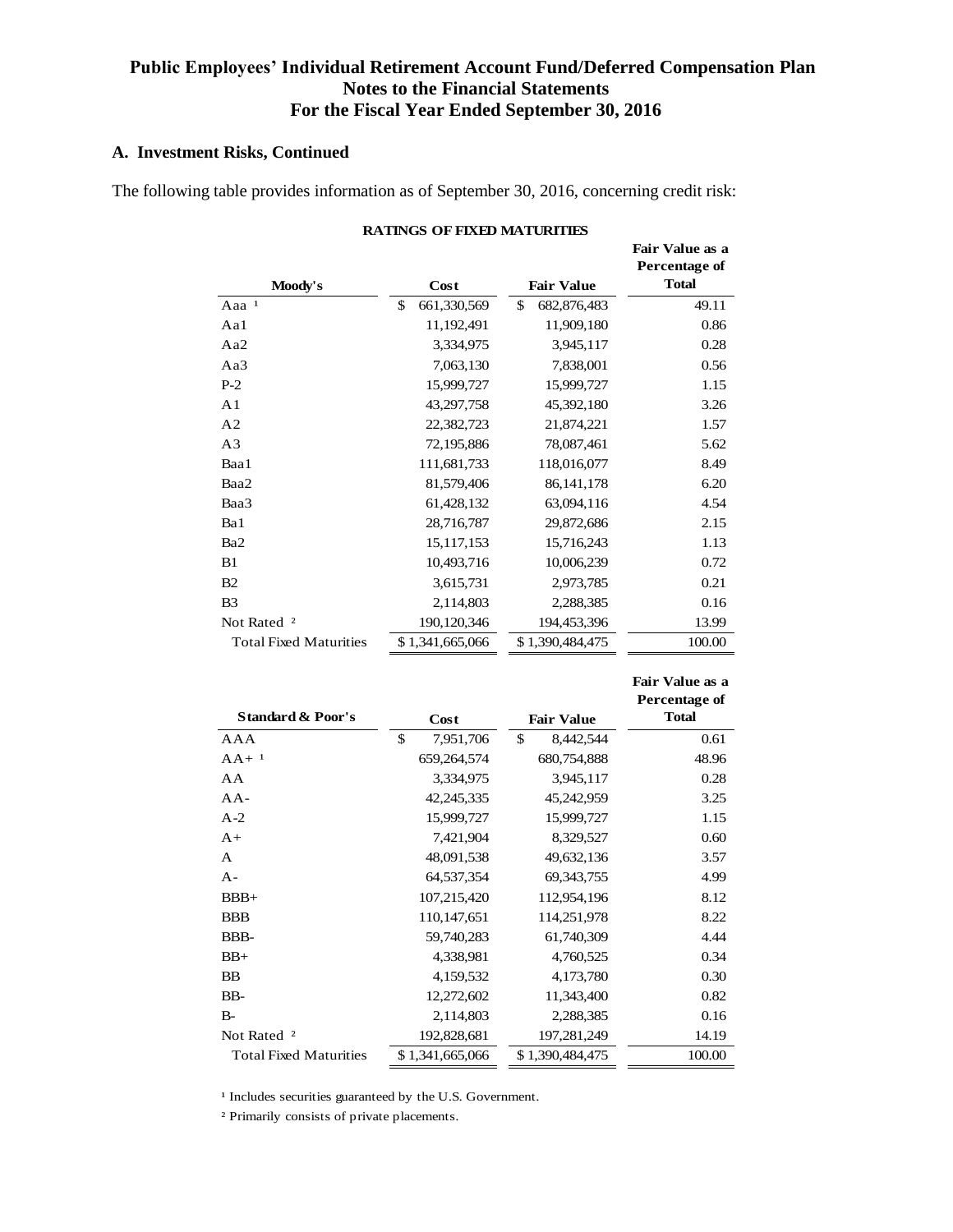### **A. Investment Risks, Continued**

The following table provides information as of September 30, 2016, concerning credit risk:

|                               |                   |                   | Fair Value as a<br>Percentage of |
|-------------------------------|-------------------|-------------------|----------------------------------|
| Moody's                       | Cost              | <b>Fair Value</b> | <b>Total</b>                     |
| Aaa <sup>1</sup>              | \$<br>661,330,569 | \$<br>682,876,483 | 49.11                            |
| Aa1                           | 11,192,491        | 11,909,180        | 0.86                             |
| Aa2                           | 3,334,975         | 3,945,117         | 0.28                             |
| Aa3                           | 7,063,130         | 7,838,001         | 0.56                             |
| $P-2$                         | 15,999,727        | 15,999,727        | 1.15                             |
| A <sub>1</sub>                | 43,297,758        | 45,392,180        | 3.26                             |
| A <sub>2</sub>                | 22,382,723        | 21,874,221        | 1.57                             |
| A <sub>3</sub>                | 72,195,886        | 78,087,461        | 5.62                             |
| Baa1                          | 111,681,733       | 118,016,077       | 8.49                             |
| Baa2                          | 81,579,406        | 86, 141, 178      | 6.20                             |
| Baa3                          | 61,428,132        | 63,094,116        | 4.54                             |
| Ba1                           | 28,716,787        | 29,872,686        | 2.15                             |
| Ba <sub>2</sub>               | 15, 117, 153      | 15,716,243        | 1.13                             |
| B1                            | 10,493,716        | 10,006,239        | 0.72                             |
| B <sub>2</sub>                | 3,615,731         | 2,973,785         | 0.21                             |
| B <sub>3</sub>                | 2,114,803         | 2,288,385         | 0.16                             |
| Not Rated <sup>2</sup>        | 190,120,346       | 194,453,396       | 13.99                            |
| <b>Total Fixed Maturities</b> | \$1,341,665,066   | \$1,390,484,475   | 100.00                           |

|  | RATINGS OF FIXED MATURITIES |
|--|-----------------------------|
|  |                             |

|                               |                 |                   | Percentage of |
|-------------------------------|-----------------|-------------------|---------------|
| <b>Standard &amp; Poor's</b>  | Cost            | <b>Fair Value</b> | <b>Total</b>  |
| AAA                           | \$<br>7,951,706 | \$<br>8,442,544   | 0.61          |
| $AA+$ <sup>1</sup>            | 659,264,574     | 680,754,888       | 48.96         |
| AA                            | 3,334,975       | 3,945,117         | 0.28          |
| $AA-$                         | 42,245,335      | 45,242,959        | 3.25          |
| $A-2$                         | 15,999,727      | 15,999,727        | 1.15          |
| $A+$                          | 7,421,904       | 8,329,527         | 0.60          |
| A                             | 48,091,538      | 49,632,136        | 3.57          |
| $A -$                         | 64,537,354      | 69, 343, 755      | 4.99          |
| $BBB+$                        | 107,215,420     | 112,954,196       | 8.12          |
| <b>BBB</b>                    | 110, 147, 651   | 114,251,978       | 8.22          |
| BBB-                          | 59,740,283      | 61,740,309        | 4.44          |
| $BB+$                         | 4,338,981       | 4,760,525         | 0.34          |
| BB                            | 4,159,532       | 4,173,780         | 0.30          |
| BB-                           | 12,272,602      | 11,343,400        | 0.82          |
| $B -$                         | 2,114,803       | 2,288,385         | 0.16          |
| Not Rated <sup>2</sup>        | 192,828,681     | 197,281,249       | 14.19         |
| <b>Total Fixed Maturities</b> | \$1,341,665,066 | \$1,390,484,475   | 100.00        |
|                               |                 |                   |               |

**Fair Value as a** 

<sup>1</sup> Includes securities guaranteed by the U.S. Government.

² Primarily consists of private placements.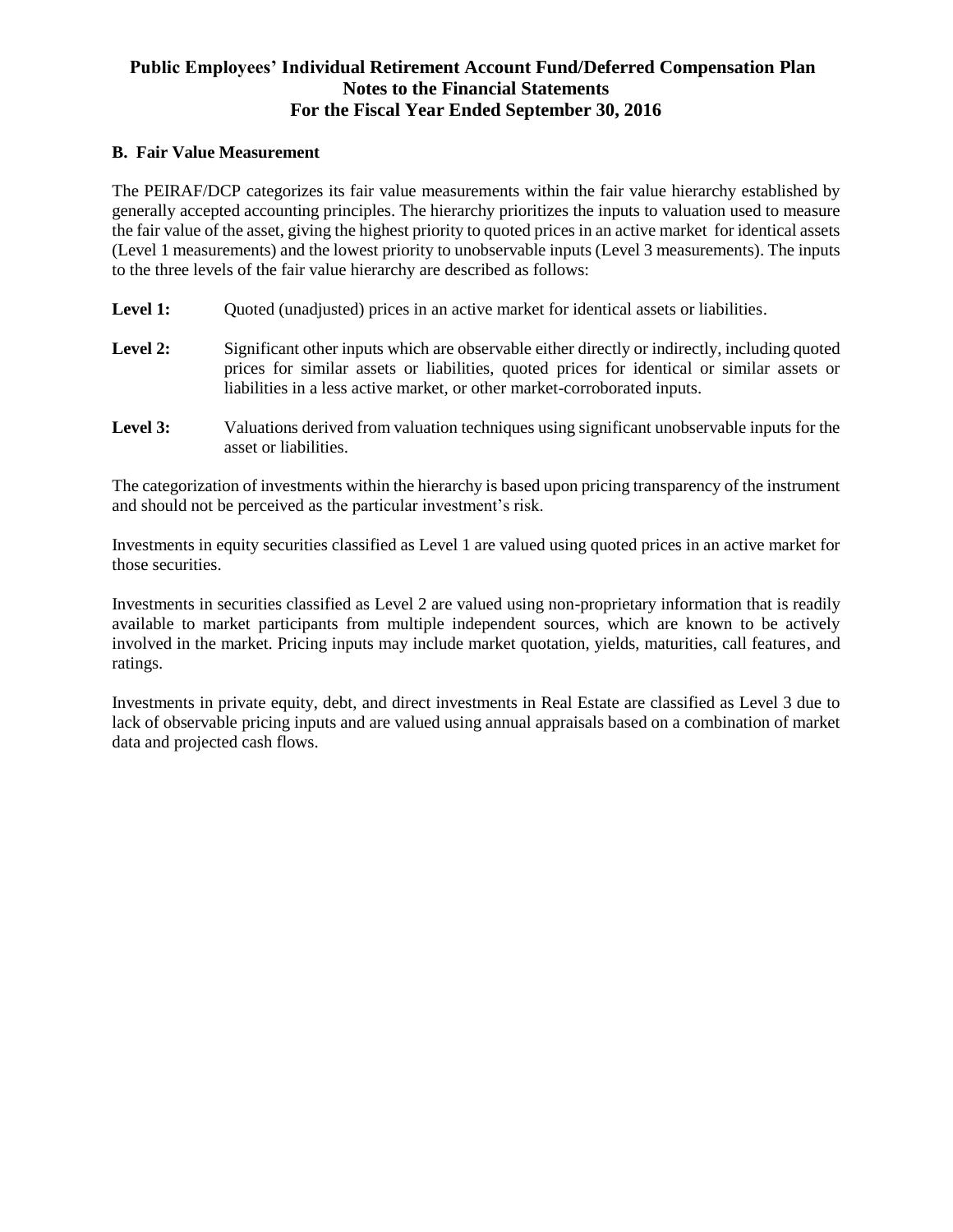#### **B. Fair Value Measurement**

The PEIRAF/DCP categorizes its fair value measurements within the fair value hierarchy established by generally accepted accounting principles. The hierarchy prioritizes the inputs to valuation used to measure the fair value of the asset, giving the highest priority to quoted prices in an active market for identical assets (Level 1 measurements) and the lowest priority to unobservable inputs (Level 3 measurements). The inputs to the three levels of the fair value hierarchy are described as follows:

- Level 1: Ouoted (unadjusted) prices in an active market for identical assets or liabilities.
- Level 2: Significant other inputs which are observable either directly or indirectly, including quoted prices for similar assets or liabilities, quoted prices for identical or similar assets or liabilities in a less active market, or other market-corroborated inputs.
- **Level 3:** Valuations derived from valuation techniques using significant unobservable inputs for the asset or liabilities.

The categorization of investments within the hierarchy is based upon pricing transparency of the instrument and should not be perceived as the particular investment's risk.

Investments in equity securities classified as Level 1 are valued using quoted prices in an active market for those securities.

Investments in securities classified as Level 2 are valued using non-proprietary information that is readily available to market participants from multiple independent sources, which are known to be actively involved in the market. Pricing inputs may include market quotation, yields, maturities, call features, and ratings.

Investments in private equity, debt, and direct investments in Real Estate are classified as Level 3 due to lack of observable pricing inputs and are valued using annual appraisals based on a combination of market data and projected cash flows.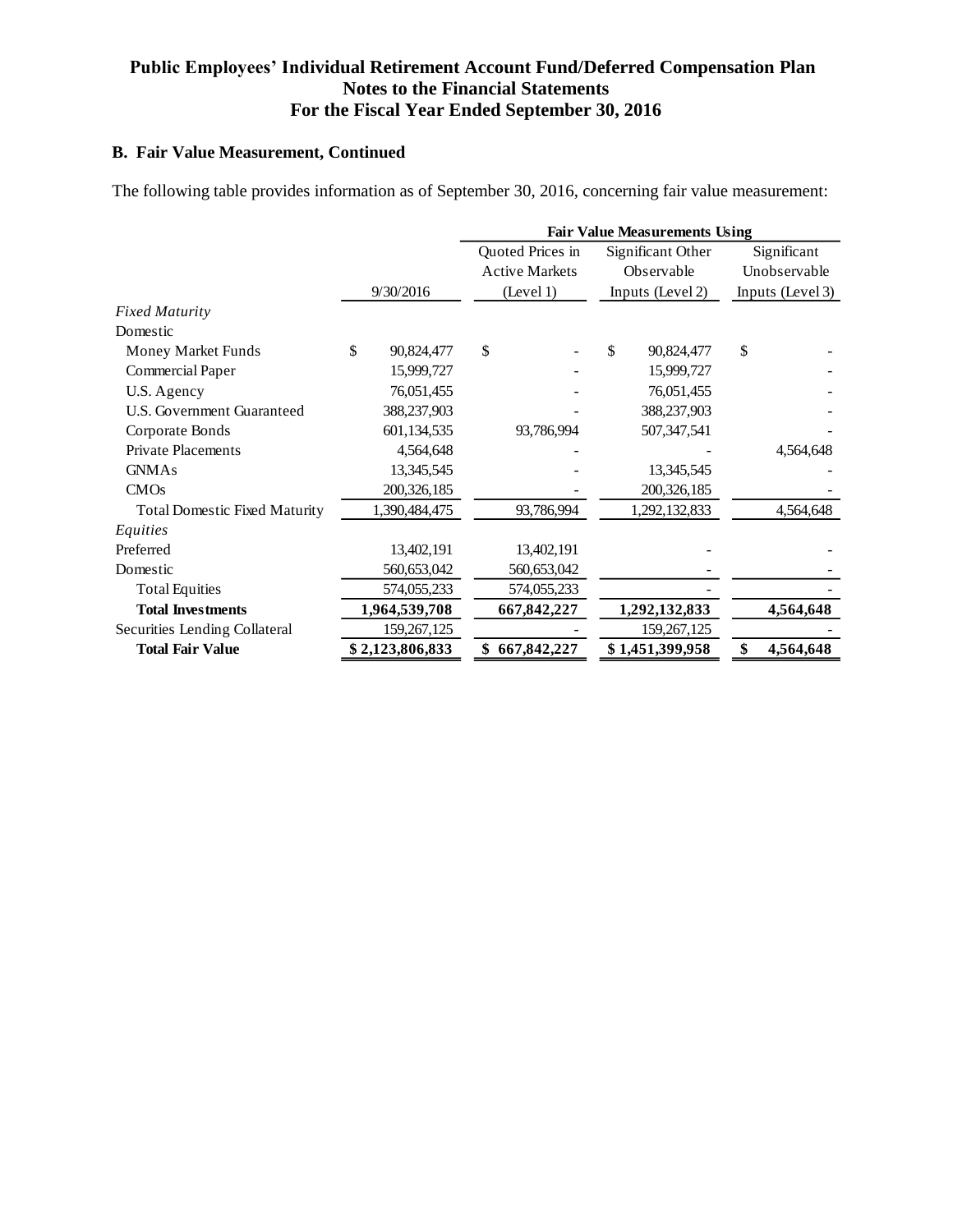# **B. Fair Value Measurement, Continued**

The following table provides information as of September 30, 2016, concerning fair value measurement:

|                                      |    |                 | <b>Fair Value Measurements Using</b> |                       |    |                   |    |                  |  |
|--------------------------------------|----|-----------------|--------------------------------------|-----------------------|----|-------------------|----|------------------|--|
|                                      |    |                 |                                      | Quoted Prices in      |    | Significant Other |    | Significant      |  |
|                                      |    |                 |                                      | <b>Active Markets</b> |    | Observable        |    | Unobservable     |  |
|                                      |    | 9/30/2016       |                                      | (Level 1)             |    | Inputs (Level 2)  |    | Inputs (Level 3) |  |
| <b>Fixed Maturity</b>                |    |                 |                                      |                       |    |                   |    |                  |  |
| Domestic                             |    |                 |                                      |                       |    |                   |    |                  |  |
| Money Market Funds                   | \$ | 90,824,477      | \$                                   |                       | \$ | 90,824,477        | \$ |                  |  |
| Commercial Paper                     |    | 15,999,727      |                                      |                       |    | 15,999,727        |    |                  |  |
| U.S. Agency                          |    | 76,051,455      |                                      |                       |    | 76,051,455        |    |                  |  |
| U.S. Government Guaranteed           |    | 388,237,903     |                                      |                       |    | 388,237,903       |    |                  |  |
| Corporate Bonds                      |    | 601,134,535     |                                      | 93,786,994            |    | 507,347,541       |    |                  |  |
| <b>Private Placements</b>            |    | 4,564,648       |                                      |                       |    |                   |    | 4,564,648        |  |
| <b>GNMAs</b>                         |    | 13,345,545      |                                      |                       |    | 13, 345, 545      |    |                  |  |
| CMOs                                 |    | 200, 326, 185   |                                      |                       |    | 200,326,185       |    |                  |  |
| <b>Total Domestic Fixed Maturity</b> |    | 1,390,484,475   |                                      | 93,786,994            |    | 1,292,132,833     |    | 4,564,648        |  |
| Equities                             |    |                 |                                      |                       |    |                   |    |                  |  |
| Preferred                            |    | 13,402,191      |                                      | 13,402,191            |    |                   |    |                  |  |
| Domestic                             |    | 560,653,042     |                                      | 560,653,042           |    |                   |    |                  |  |
| <b>Total Equities</b>                |    | 574,055,233     |                                      | 574,055,233           |    |                   |    |                  |  |
| <b>Total Investments</b>             |    | 1,964,539,708   |                                      | 667,842,227           |    | 1,292,132,833     |    | 4,564,648        |  |
| Securities Lending Collateral        |    | 159,267,125     |                                      |                       |    | 159, 267, 125     |    |                  |  |
| <b>Total Fair Value</b>              |    | \$2,123,806,833 |                                      | 667,842,227           |    | \$1,451,399,958   |    | 4,564,648        |  |
|                                      |    |                 |                                      |                       |    |                   |    |                  |  |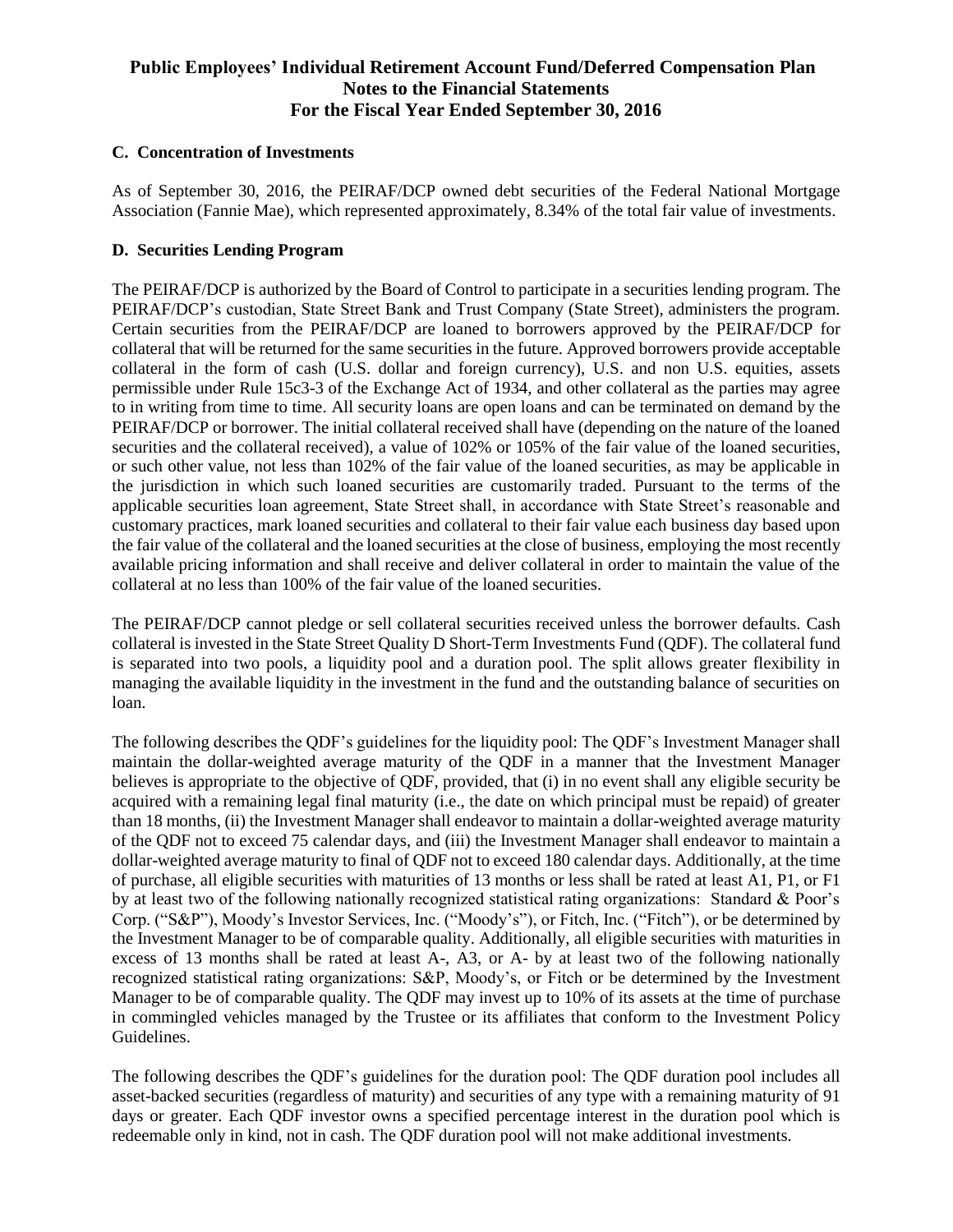#### **C. Concentration of Investments**

As of September 30, 2016, the PEIRAF/DCP owned debt securities of the Federal National Mortgage Association (Fannie Mae), which represented approximately, 8.34% of the total fair value of investments.

#### **D. Securities Lending Program**

The PEIRAF/DCP is authorized by the Board of Control to participate in a securities lending program. The PEIRAF/DCP's custodian, State Street Bank and Trust Company (State Street), administers the program. Certain securities from the PEIRAF/DCP are loaned to borrowers approved by the PEIRAF/DCP for collateral that will be returned for the same securities in the future. Approved borrowers provide acceptable collateral in the form of cash (U.S. dollar and foreign currency), U.S. and non U.S. equities, assets permissible under Rule 15c3-3 of the Exchange Act of 1934, and other collateral as the parties may agree to in writing from time to time. All security loans are open loans and can be terminated on demand by the PEIRAF/DCP or borrower. The initial collateral received shall have (depending on the nature of the loaned securities and the collateral received), a value of 102% or 105% of the fair value of the loaned securities, or such other value, not less than 102% of the fair value of the loaned securities, as may be applicable in the jurisdiction in which such loaned securities are customarily traded. Pursuant to the terms of the applicable securities loan agreement, State Street shall, in accordance with State Street's reasonable and customary practices, mark loaned securities and collateral to their fair value each business day based upon the fair value of the collateral and the loaned securities at the close of business, employing the most recently available pricing information and shall receive and deliver collateral in order to maintain the value of the collateral at no less than 100% of the fair value of the loaned securities.

The PEIRAF/DCP cannot pledge or sell collateral securities received unless the borrower defaults. Cash collateral is invested in the State Street Quality D Short-Term Investments Fund (QDF). The collateral fund is separated into two pools, a liquidity pool and a duration pool. The split allows greater flexibility in managing the available liquidity in the investment in the fund and the outstanding balance of securities on loan.

The following describes the QDF's guidelines for the liquidity pool: The QDF's Investment Manager shall maintain the dollar-weighted average maturity of the QDF in a manner that the Investment Manager believes is appropriate to the objective of QDF, provided, that (i) in no event shall any eligible security be acquired with a remaining legal final maturity (i.e., the date on which principal must be repaid) of greater than 18 months, (ii) the Investment Manager shall endeavor to maintain a dollar-weighted average maturity of the QDF not to exceed 75 calendar days, and (iii) the Investment Manager shall endeavor to maintain a dollar-weighted average maturity to final of QDF not to exceed 180 calendar days. Additionally, at the time of purchase, all eligible securities with maturities of 13 months or less shall be rated at least A1, P1, or F1 by at least two of the following nationally recognized statistical rating organizations: Standard & Poor's Corp. ("S&P"), Moody's Investor Services, Inc. ("Moody's"), or Fitch, Inc. ("Fitch"), or be determined by the Investment Manager to be of comparable quality. Additionally, all eligible securities with maturities in excess of 13 months shall be rated at least A-, A3, or A- by at least two of the following nationally recognized statistical rating organizations: S&P, Moody's, or Fitch or be determined by the Investment Manager to be of comparable quality. The QDF may invest up to 10% of its assets at the time of purchase in commingled vehicles managed by the Trustee or its affiliates that conform to the Investment Policy Guidelines.

The following describes the QDF's guidelines for the duration pool: The QDF duration pool includes all asset-backed securities (regardless of maturity) and securities of any type with a remaining maturity of 91 days or greater. Each QDF investor owns a specified percentage interest in the duration pool which is redeemable only in kind, not in cash. The QDF duration pool will not make additional investments.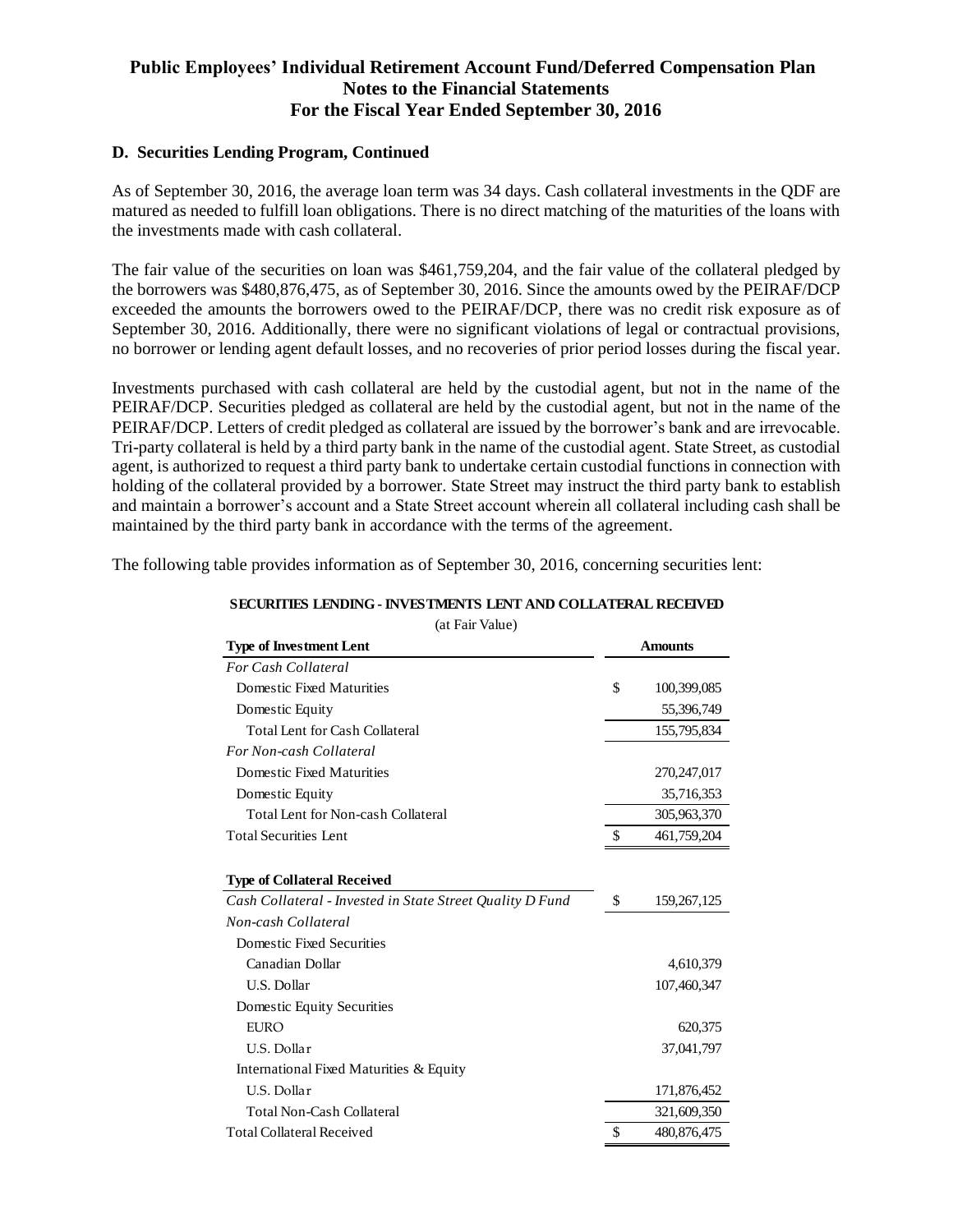#### **D. Securities Lending Program, Continued**

As of September 30, 2016, the average loan term was 34 days. Cash collateral investments in the QDF are matured as needed to fulfill loan obligations. There is no direct matching of the maturities of the loans with the investments made with cash collateral.

The fair value of the securities on loan was \$461,759,204, and the fair value of the collateral pledged by the borrowers was \$480,876,475, as of September 30, 2016. Since the amounts owed by the PEIRAF/DCP exceeded the amounts the borrowers owed to the PEIRAF/DCP, there was no credit risk exposure as of September 30, 2016. Additionally, there were no significant violations of legal or contractual provisions, no borrower or lending agent default losses, and no recoveries of prior period losses during the fiscal year.

Investments purchased with cash collateral are held by the custodial agent, but not in the name of the PEIRAF/DCP. Securities pledged as collateral are held by the custodial agent, but not in the name of the PEIRAF/DCP. Letters of credit pledged as collateral are issued by the borrower's bank and are irrevocable. Tri-party collateral is held by a third party bank in the name of the custodial agent. State Street, as custodial agent, is authorized to request a third party bank to undertake certain custodial functions in connection with holding of the collateral provided by a borrower. State Street may instruct the third party bank to establish and maintain a borrower's account and a State Street account wherein all collateral including cash shall be maintained by the third party bank in accordance with the terms of the agreement.

The following table provides information as of September 30, 2016, concerning securities lent:

| <b>Amounts</b><br>\$<br>Domestic Fixed Maturities<br>100,399,085<br>Domestic Equity<br>55,396,749<br><b>Total Lent for Cash Collateral</b><br>155,795,834<br>Domestic Fixed Maturities<br>270,247,017<br>Domestic Equity<br>35,716,353<br><b>Total Lent for Non-cash Collateral</b><br>305,963,370<br>$\mathbb{S}$<br>461,759,204<br>\$<br>159,267,125<br>Domestic Fixed Securities<br>Canadian Dollar<br>4,610,379<br><b>U.S. Dollar</b><br>107,460,347<br>Domestic Equity Securities<br><b>EURO</b><br>620,375<br>U.S. Dollar<br>37,041,797<br>International Fixed Maturities & Equity<br>U.S. Dollar<br>171,876,452<br><b>Total Non-Cash Collateral</b><br>321,609,350<br>\$<br>480,876,475 | (at Fall Value)                                           |  |  |  |
|------------------------------------------------------------------------------------------------------------------------------------------------------------------------------------------------------------------------------------------------------------------------------------------------------------------------------------------------------------------------------------------------------------------------------------------------------------------------------------------------------------------------------------------------------------------------------------------------------------------------------------------------------------------------------------------------|-----------------------------------------------------------|--|--|--|
|                                                                                                                                                                                                                                                                                                                                                                                                                                                                                                                                                                                                                                                                                                | <b>Type of Investment Lent</b>                            |  |  |  |
|                                                                                                                                                                                                                                                                                                                                                                                                                                                                                                                                                                                                                                                                                                | <b>For Cash Collateral</b>                                |  |  |  |
|                                                                                                                                                                                                                                                                                                                                                                                                                                                                                                                                                                                                                                                                                                |                                                           |  |  |  |
|                                                                                                                                                                                                                                                                                                                                                                                                                                                                                                                                                                                                                                                                                                |                                                           |  |  |  |
|                                                                                                                                                                                                                                                                                                                                                                                                                                                                                                                                                                                                                                                                                                |                                                           |  |  |  |
|                                                                                                                                                                                                                                                                                                                                                                                                                                                                                                                                                                                                                                                                                                | For Non-cash Collateral                                   |  |  |  |
|                                                                                                                                                                                                                                                                                                                                                                                                                                                                                                                                                                                                                                                                                                |                                                           |  |  |  |
|                                                                                                                                                                                                                                                                                                                                                                                                                                                                                                                                                                                                                                                                                                |                                                           |  |  |  |
|                                                                                                                                                                                                                                                                                                                                                                                                                                                                                                                                                                                                                                                                                                |                                                           |  |  |  |
|                                                                                                                                                                                                                                                                                                                                                                                                                                                                                                                                                                                                                                                                                                | <b>Total Securities Lent</b>                              |  |  |  |
|                                                                                                                                                                                                                                                                                                                                                                                                                                                                                                                                                                                                                                                                                                | <b>Type of Collateral Received</b>                        |  |  |  |
|                                                                                                                                                                                                                                                                                                                                                                                                                                                                                                                                                                                                                                                                                                | Cash Collateral - Invested in State Street Quality D Fund |  |  |  |
|                                                                                                                                                                                                                                                                                                                                                                                                                                                                                                                                                                                                                                                                                                | Non-cash Collateral                                       |  |  |  |
|                                                                                                                                                                                                                                                                                                                                                                                                                                                                                                                                                                                                                                                                                                |                                                           |  |  |  |
|                                                                                                                                                                                                                                                                                                                                                                                                                                                                                                                                                                                                                                                                                                |                                                           |  |  |  |
|                                                                                                                                                                                                                                                                                                                                                                                                                                                                                                                                                                                                                                                                                                |                                                           |  |  |  |
|                                                                                                                                                                                                                                                                                                                                                                                                                                                                                                                                                                                                                                                                                                |                                                           |  |  |  |
|                                                                                                                                                                                                                                                                                                                                                                                                                                                                                                                                                                                                                                                                                                |                                                           |  |  |  |
|                                                                                                                                                                                                                                                                                                                                                                                                                                                                                                                                                                                                                                                                                                |                                                           |  |  |  |
|                                                                                                                                                                                                                                                                                                                                                                                                                                                                                                                                                                                                                                                                                                |                                                           |  |  |  |
|                                                                                                                                                                                                                                                                                                                                                                                                                                                                                                                                                                                                                                                                                                |                                                           |  |  |  |
|                                                                                                                                                                                                                                                                                                                                                                                                                                                                                                                                                                                                                                                                                                |                                                           |  |  |  |
|                                                                                                                                                                                                                                                                                                                                                                                                                                                                                                                                                                                                                                                                                                | <b>Total Collateral Received</b>                          |  |  |  |

#### **SECURITIES LENDING - INVESTMENTS LENT AND COLLATERAL RECEIVED**

 $(A + \nabla a)$   $\Delta$   $\Delta$